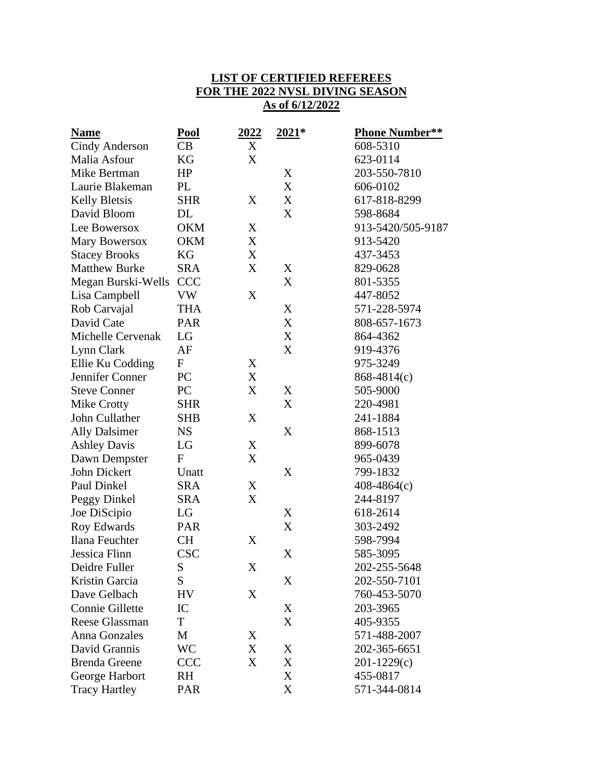## **LIST OF CERTIFIED REFEREES FOR THE 2022 NVSL DIVING SEASON As of 6/12/2022**

| <u>Name</u>           | <u>Pool</u>  | <u> 2022 </u> | $2021*$ | <b>Phone Number**</b> |
|-----------------------|--------------|---------------|---------|-----------------------|
| Cindy Anderson        | CB           | X             |         | 608-5310              |
| Malia Asfour          | KG           | X             |         | 623-0114              |
| Mike Bertman          | HP           |               | X       | 203-550-7810          |
| Laurie Blakeman       | PL           |               | X       | 606-0102              |
| <b>Kelly Bletsis</b>  | <b>SHR</b>   | X             | X       | 617-818-8299          |
| David Bloom           | DL           |               | X       | 598-8684              |
| Lee Bowersox          | <b>OKM</b>   | X             |         | 913-5420/505-9187     |
| Mary Bowersox         | <b>OKM</b>   | X             |         | 913-5420              |
| <b>Stacey Brooks</b>  | KG           | X             |         | 437-3453              |
| <b>Matthew Burke</b>  | <b>SRA</b>   | X             | X       | 829-0628              |
| Megan Burski-Wells    | <b>CCC</b>   |               | X       | 801-5355              |
| Lisa Campbell         | VW           | X             |         | 447-8052              |
| Rob Carvajal          | <b>THA</b>   |               | X       | 571-228-5974          |
| David Cate            | <b>PAR</b>   |               | X       | 808-657-1673          |
| Michelle Cervenak     | LG           |               | X       | 864-4362              |
| Lynn Clark            | AF           |               | X       | 919-4376              |
| Ellie Ku Codding      | ${\bf F}$    | X             |         | 975-3249              |
| Jennifer Conner       | PC           | X             |         | 868-4814(c)           |
| <b>Steve Conner</b>   | PC           | X             | X       | 505-9000              |
| Mike Crotty           | <b>SHR</b>   |               | X       | 220-4981              |
| John Cullather        | <b>SHB</b>   | X             |         | 241-1884              |
| <b>Ally Dalsimer</b>  | <b>NS</b>    |               | X       | 868-1513              |
| <b>Ashley Davis</b>   | LG           | X             |         | 899-6078              |
| Dawn Dempster         | $\mathbf{F}$ | X             |         | 965-0439              |
| John Dickert          | Unatt        |               | X       | 799-1832              |
| Paul Dinkel           | <b>SRA</b>   | X             |         | $408 - 4864(c)$       |
| Peggy Dinkel          | <b>SRA</b>   | X             |         | 244-8197              |
| Joe DiScipio          | ${\rm LG}$   |               | X       | 618-2614              |
| Roy Edwards           | <b>PAR</b>   |               | X       | 303-2492              |
| Ilana Feuchter        | <b>CH</b>    | X             |         | 598-7994              |
| Jessica Flinn         | <b>CSC</b>   |               | X       | 585-3095              |
| Deidre Fuller         | S            | X             |         | 202-255-5648          |
| Kristin Garcia        | S            |               | X       | 202-550-7101          |
| Dave Gelbach          | <b>HV</b>    | X             |         | 760-453-5070          |
| Connie Gillette       | IC           |               | X       | 203-3965              |
| <b>Reese Glassman</b> | T            |               | X       | 405-9355              |
| <b>Anna Gonzales</b>  | M            | X             |         | 571-488-2007          |
| David Grannis         | <b>WC</b>    | X             | X       | 202-365-6651          |
| <b>Brenda Greene</b>  | <b>CCC</b>   | X             | X       | $201 - 1229(c)$       |
| George Harbort        | RH           |               | X       | 455-0817              |
| <b>Tracy Hartley</b>  | <b>PAR</b>   |               | X       | 571-344-0814          |
|                       |              |               |         |                       |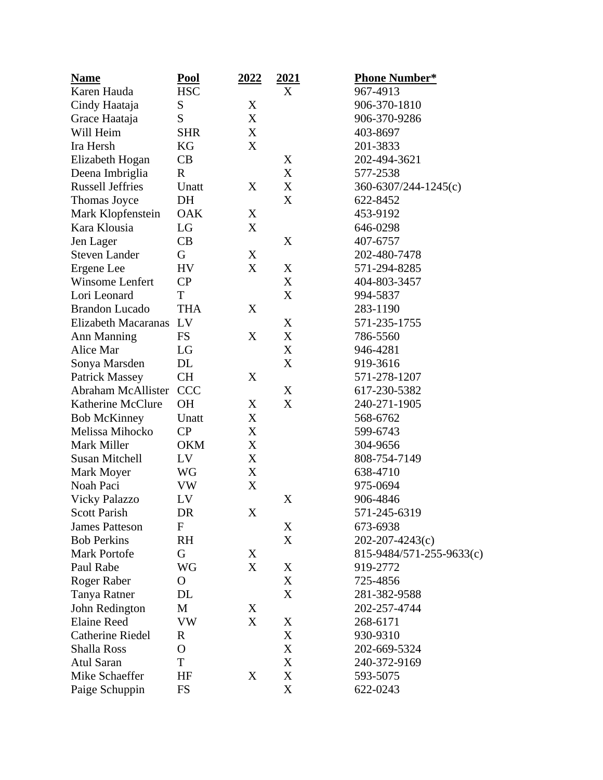| <b>Name</b>                            | <u>Pool</u>  | <u>2022</u> | 2021 | <b>Phone Number*</b>     |
|----------------------------------------|--------------|-------------|------|--------------------------|
| Karen Hauda                            | <b>HSC</b>   |             | X    | 967-4913                 |
| Cindy Haataja                          | S            | X           |      | 906-370-1810             |
| Grace Haataja                          | S            | X           |      | 906-370-9286             |
| Will Heim                              | <b>SHR</b>   | X           |      | 403-8697                 |
| Ira Hersh                              | KG           | X           |      | 201-3833                 |
| Elizabeth Hogan                        | CB           |             | X    | 202-494-3621             |
| Deena Imbriglia                        | $\mathbf R$  |             | X    | 577-2538                 |
| <b>Russell Jeffries</b>                | Unatt        | X           | X    | 360-6307/244-1245(c)     |
| Thomas Joyce                           | DH           |             | X    | 622-8452                 |
| Mark Klopfenstein                      | <b>OAK</b>   | X           |      | 453-9192                 |
| Kara Klousia                           | LG           | X           |      | 646-0298                 |
| Jen Lager                              | CB           |             | X    | 407-6757                 |
| <b>Steven Lander</b>                   | G            | X           |      | 202-480-7478             |
| Ergene Lee                             | <b>HV</b>    | X           | X    | 571-294-8285             |
| <b>Winsome Lenfert</b>                 | CP           |             | X    | 404-803-3457             |
| Lori Leonard                           | T            |             | X    | 994-5837                 |
| <b>Brandon Lucado</b>                  | <b>THA</b>   | X           |      | 283-1190                 |
| Elizabeth Macaranas LV                 |              |             | X    | 571-235-1755             |
| Ann Manning                            | <b>FS</b>    | X           | X    | 786-5560                 |
| Alice Mar                              | LG           |             | X    | 946-4281                 |
| Sonya Marsden                          | DL           |             | X    | 919-3616                 |
| <b>Patrick Massey</b>                  | <b>CH</b>    | X           |      | 571-278-1207             |
| Abraham McAllister                     | <b>CCC</b>   |             | X    | 617-230-5382             |
| Katherine McClure                      | <b>OH</b>    | X           | X    | 240-271-1905             |
|                                        | Unatt        | X           |      | 568-6762                 |
| <b>Bob McKinney</b><br>Melissa Mihocko | CP           | X           |      |                          |
|                                        |              |             |      | 599-6743                 |
| Mark Miller                            | <b>OKM</b>   | X           |      | 304-9656                 |
| <b>Susan Mitchell</b>                  | LV           | X           |      | 808-754-7149             |
| Mark Moyer                             | WG           | X           |      | 638-4710                 |
| Noah Paci                              | VW           | X           |      | 975-0694                 |
| <b>Vicky Palazzo</b>                   | LV           |             | X    | 906-4846                 |
| Scott Parish                           | DR           | X           |      | 571-245-6319             |
| <b>James Patteson</b>                  | F            |             | X    | 673-6938                 |
| <b>Bob Perkins</b>                     | <b>RH</b>    |             | X    | $202 - 207 - 4243(c)$    |
| <b>Mark Portofe</b>                    | G            | X           |      | 815-9484/571-255-9633(c) |
| Paul Rabe                              | WG           | X           | X    | 919-2772                 |
| Roger Raber                            | $\mathbf{O}$ |             | X    | 725-4856                 |
| Tanya Ratner                           | DL           |             | X    | 281-382-9588             |
| John Redington                         | М            | X           |      | 202-257-4744             |
| <b>Elaine Reed</b>                     | VW           | X           | X    | 268-6171                 |
| <b>Catherine Riedel</b>                | R            |             | X    | 930-9310                 |
| <b>Shalla Ross</b>                     | O            |             | X    | 202-669-5324             |
| Atul Saran                             | T            |             | X    | 240-372-9169             |
| Mike Schaeffer                         | HF           | X           | X    | 593-5075                 |
| Paige Schuppin                         | FS           |             | X    | 622-0243                 |